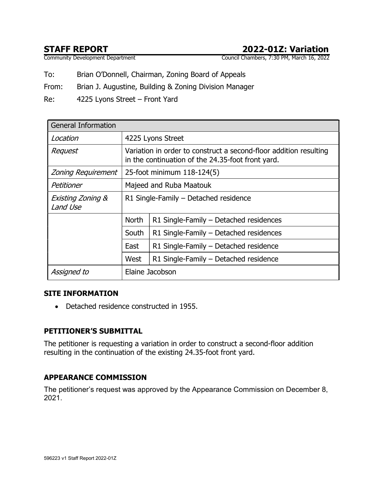# STAFF REPORT<br>
Community Development Department<br>
Council Chambers, 7:30 PM, March 16, 2022

Council Chambers, 7:30 PM, March 16, 2022

To: Brian O'Donnell, Chairman, Zoning Board of Appeals

From: Brian J. Augustine, Building & Zoning Division Manager

Re: 4225 Lyons Street – Front Yard

| <b>General Information</b>    |                                                                                                                        |                                        |  |  |
|-------------------------------|------------------------------------------------------------------------------------------------------------------------|----------------------------------------|--|--|
| Location                      | 4225 Lyons Street                                                                                                      |                                        |  |  |
| Request                       | Variation in order to construct a second-floor addition resulting<br>in the continuation of the 24.35-foot front yard. |                                        |  |  |
| <b>Zoning Requirement</b>     | 25-foot minimum 118-124(5)                                                                                             |                                        |  |  |
| Petitioner                    | Majeed and Ruba Maatouk                                                                                                |                                        |  |  |
| Existing Zoning &<br>Land Use | R1 Single-Family - Detached residence                                                                                  |                                        |  |  |
|                               | <b>North</b>                                                                                                           | R1 Single-Family - Detached residences |  |  |
|                               | South                                                                                                                  | R1 Single-Family - Detached residences |  |  |
|                               | East                                                                                                                   | R1 Single-Family - Detached residence  |  |  |
|                               | West                                                                                                                   | R1 Single-Family - Detached residence  |  |  |
| Assigned to                   | Elaine Jacobson                                                                                                        |                                        |  |  |

#### SITE INFORMATION

• Detached residence constructed in 1955.

### PETITIONER'S SUBMITTAL

The petitioner is requesting a variation in order to construct a second-floor addition resulting in the continuation of the existing 24.35-foot front yard.

#### APPEARANCE COMMISSION

The petitioner's request was approved by the Appearance Commission on December 8, 2021.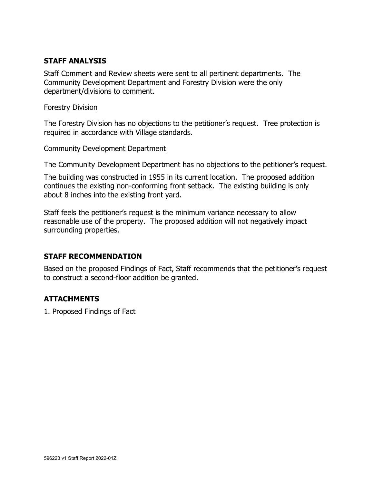#### STAFF ANALYSIS

Staff Comment and Review sheets were sent to all pertinent departments. The Community Development Department and Forestry Division were the only department/divisions to comment.

#### Forestry Division

The Forestry Division has no objections to the petitioner's request. Tree protection is required in accordance with Village standards.

#### Community Development Department

The Community Development Department has no objections to the petitioner's request.

The building was constructed in 1955 in its current location. The proposed addition continues the existing non-conforming front setback. The existing building is only about 8 inches into the existing front yard.

Staff feels the petitioner's request is the minimum variance necessary to allow reasonable use of the property. The proposed addition will not negatively impact surrounding properties.

#### STAFF RECOMMENDATION

Based on the proposed Findings of Fact, Staff recommends that the petitioner's request to construct a second-floor addition be granted.

### ATTACHMENTS

1. Proposed Findings of Fact